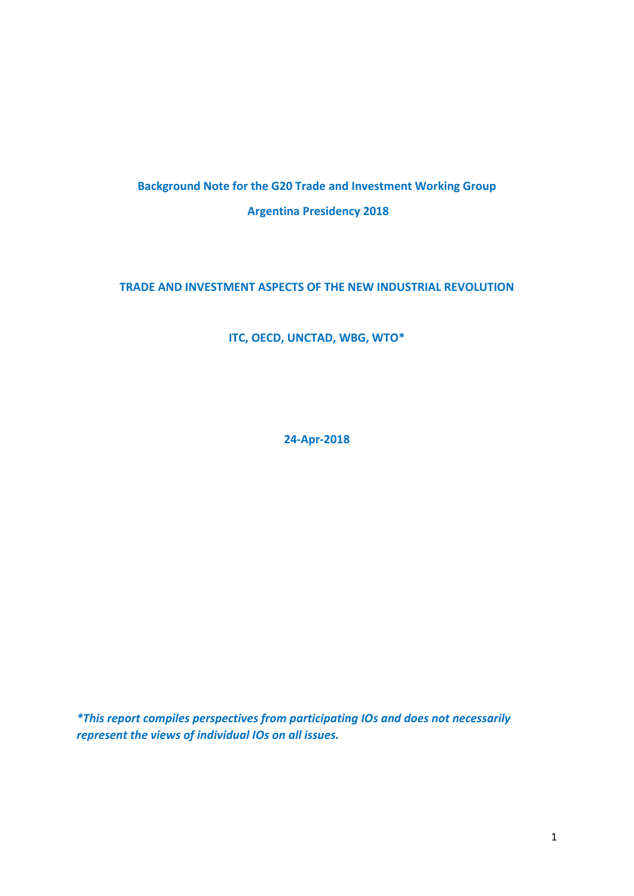# **Background Note for the G20 Trade and Investment Working Group Argentina Presidency 2018**

**TRADE AND INVESTMENT ASPECTS OF THE NEW INDUSTRIAL REVOLUTION**

**ITC, OECD, UNCTAD, WBG, WTO\***

**24-Apr-2018**

*\*This report compiles perspectives from participating IOs and does not necessarily represent the views of individual IOs on all issues.*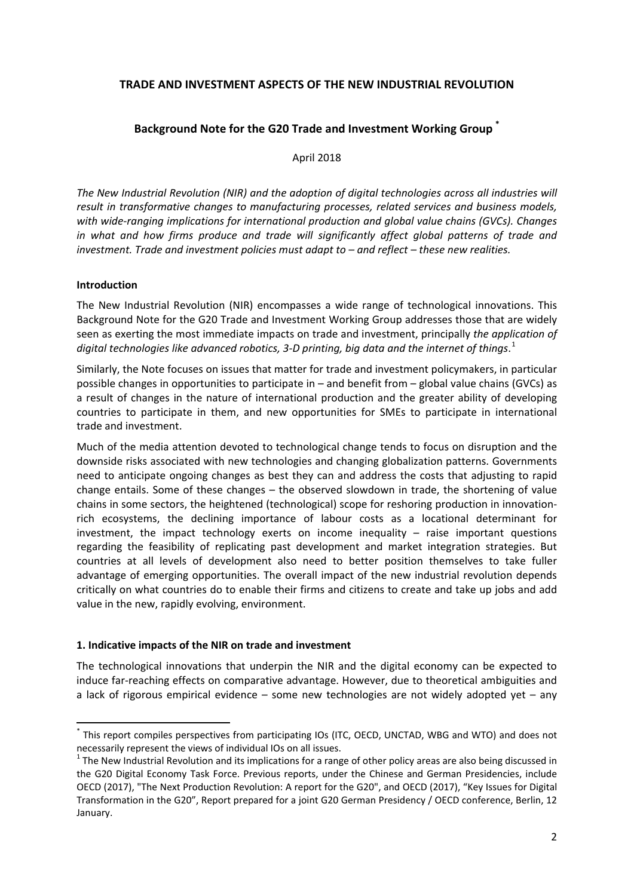## **TRADE AND INVESTMENT ASPECTS OF THE NEW INDUSTRIAL REVOLUTION**

## **Background Note for the G20 Trade and Investment Working Group [\\*](#page-1-0)**

April 2018

*The New Industrial Revolution (NIR) and the adoption of digital technologies across all industries will result in transformative changes to manufacturing processes, related services and business models, with wide-ranging implications for international production and global value chains (GVCs). Changes in what and how firms produce and trade will significantly affect global patterns of trade and investment. Trade and investment policies must adapt to – and reflect – these new realities.*

### **Introduction**

The New Industrial Revolution (NIR) encompasses a wide range of technological innovations. This Background Note for the G20 Trade and Investment Working Group addresses those that are widely seen as exerting the most immediate impacts on trade and investment, principally *the application of digital technologies like advanced robotics, 3-D printing, big data and the internet of things*. [1](#page-1-1)

Similarly, the Note focuses on issues that matter for trade and investment policymakers, in particular possible changes in opportunities to participate in – and benefit from – global value chains (GVCs) as a result of changes in the nature of international production and the greater ability of developing countries to participate in them, and new opportunities for SMEs to participate in international trade and investment.

Much of the media attention devoted to technological change tends to focus on disruption and the downside risks associated with new technologies and changing globalization patterns. Governments need to anticipate ongoing changes as best they can and address the costs that adjusting to rapid change entails. Some of these changes – the observed slowdown in trade, the shortening of value chains in some sectors, the heightened (technological) scope for reshoring production in innovationrich ecosystems, the declining importance of labour costs as a locational determinant for investment, the impact technology exerts on income inequality – raise important questions regarding the feasibility of replicating past development and market integration strategies. But countries at all levels of development also need to better position themselves to take fuller advantage of emerging opportunities. The overall impact of the new industrial revolution depends critically on what countries do to enable their firms and citizens to create and take up jobs and add value in the new, rapidly evolving, environment.

### **1. Indicative impacts of the NIR on trade and investment**

The technological innovations that underpin the NIR and the digital economy can be expected to induce far-reaching effects on comparative advantage. However, due to theoretical ambiguities and a lack of rigorous empirical evidence – some new technologies are not widely adopted yet – any

<span id="page-1-0"></span> <sup>\*</sup> This report compiles perspectives from participating IOs (ITC, OECD, UNCTAD, WBG and WTO) and does not necessarily represent the views of individual IOs on all issues.<br><sup>1</sup> The New Industrial Revolution and its implications for a range of other policy areas are also being discussed in

<span id="page-1-1"></span>the G20 Digital Economy Task Force. Previous reports, under the Chinese and German Presidencies, include OECD (2017), "The Next Production Revolution: A report for the G20", and OECD (2017), "Key Issues for Digital Transformation in the G20", Report prepared for a joint G20 German Presidency / OECD conference, Berlin, 12 January.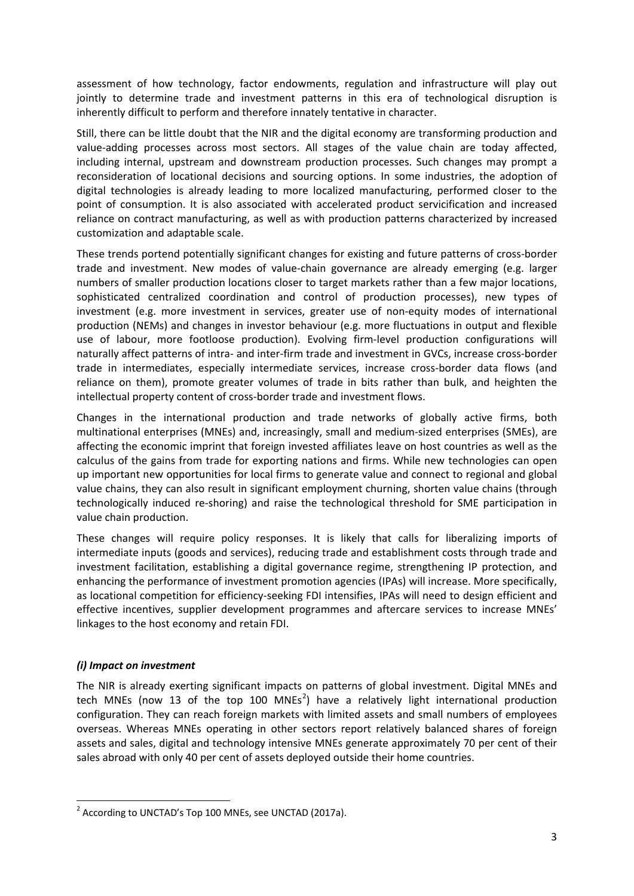assessment of how technology, factor endowments, regulation and infrastructure will play out jointly to determine trade and investment patterns in this era of technological disruption is inherently difficult to perform and therefore innately tentative in character.

Still, there can be little doubt that the NIR and the digital economy are transforming production and value-adding processes across most sectors. All stages of the value chain are today affected, including internal, upstream and downstream production processes. Such changes may prompt a reconsideration of locational decisions and sourcing options. In some industries, the adoption of digital technologies is already leading to more localized manufacturing, performed closer to the point of consumption. It is also associated with accelerated product servicification and increased reliance on contract manufacturing, as well as with production patterns characterized by increased customization and adaptable scale.

These trends portend potentially significant changes for existing and future patterns of cross-border trade and investment. New modes of value-chain governance are already emerging (e.g. larger numbers of smaller production locations closer to target markets rather than a few major locations, sophisticated centralized coordination and control of production processes), new types of investment (e.g. more investment in services, greater use of non-equity modes of international production (NEMs) and changes in investor behaviour (e.g. more fluctuations in output and flexible use of labour, more footloose production). Evolving firm-level production configurations will naturally affect patterns of intra- and inter-firm trade and investment in GVCs, increase cross-border trade in intermediates, especially intermediate services, increase cross-border data flows (and reliance on them), promote greater volumes of trade in bits rather than bulk, and heighten the intellectual property content of cross-border trade and investment flows.

Changes in the international production and trade networks of globally active firms, both multinational enterprises (MNEs) and, increasingly, small and medium-sized enterprises (SMEs), are affecting the economic imprint that foreign invested affiliates leave on host countries as well as the calculus of the gains from trade for exporting nations and firms. While new technologies can open up important new opportunities for local firms to generate value and connect to regional and global value chains, they can also result in significant employment churning, shorten value chains (through technologically induced re-shoring) and raise the technological threshold for SME participation in value chain production.

These changes will require policy responses. It is likely that calls for liberalizing imports of intermediate inputs (goods and services), reducing trade and establishment costs through trade and investment facilitation, establishing a digital governance regime, strengthening IP protection, and enhancing the performance of investment promotion agencies (IPAs) will increase. More specifically, as locational competition for efficiency-seeking FDI intensifies, IPAs will need to design efficient and effective incentives, supplier development programmes and aftercare services to increase MNEs' linkages to the host economy and retain FDI.

## *(i) Impact on investment*

The NIR is already exerting significant impacts on patterns of global investment. Digital MNEs and tech MNEs (now 13 of the top 100 MNEs<sup>[2](#page-2-0)</sup>) have a relatively light international production configuration. They can reach foreign markets with limited assets and small numbers of employees overseas. Whereas MNEs operating in other sectors report relatively balanced shares of foreign assets and sales, digital and technology intensive MNEs generate approximately 70 per cent of their sales abroad with only 40 per cent of assets deployed outside their home countries.

<span id="page-2-0"></span> $2$  According to UNCTAD's Top 100 MNEs, see UNCTAD (2017a).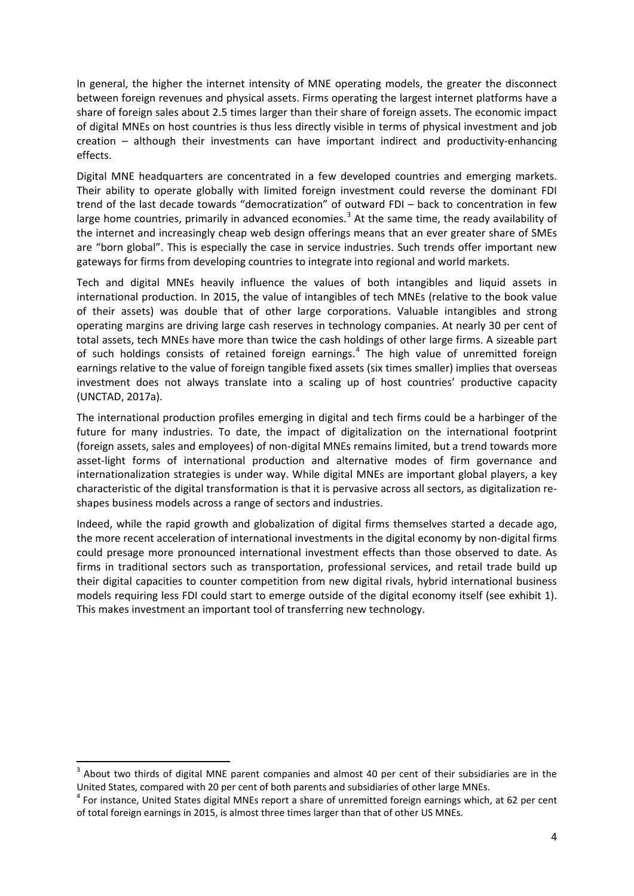In general, the higher the internet intensity of MNE operating models, the greater the disconnect between foreign revenues and physical assets. Firms operating the largest internet platforms have a share of foreign sales about 2.5 times larger than their share of foreign assets. The economic impact of digital MNEs on host countries is thus less directly visible in terms of physical investment and job creation – although their investments can have important indirect and productivity-enhancing effects.

Digital MNE headquarters are concentrated in a few developed countries and emerging markets. Their ability to operate globally with limited foreign investment could reverse the dominant FDI trend of the last decade towards "democratization" of outward FDI – back to concentration in few large home countries, primarily in advanced economies.<sup>[3](#page-3-0)</sup> At the same time, the ready availability of the internet and increasingly cheap web design offerings means that an ever greater share of SMEs are "born global". This is especially the case in service industries. Such trends offer important new gateways for firms from developing countries to integrate into regional and world markets.

Tech and digital MNEs heavily influence the values of both intangibles and liquid assets in international production. In 2015, the value of intangibles of tech MNEs (relative to the book value of their assets) was double that of other large corporations. Valuable intangibles and strong operating margins are driving large cash reserves in technology companies. At nearly 30 per cent of total assets, tech MNEs have more than twice the cash holdings of other large firms. A sizeable part of such holdings consists of retained foreign earnings.<sup>[4](#page-3-1)</sup> The high value of unremitted foreign earnings relative to the value of foreign tangible fixed assets (six times smaller) implies that overseas investment does not always translate into a scaling up of host countries' productive capacity (UNCTAD, 2017a).

The international production profiles emerging in digital and tech firms could be a harbinger of the future for many industries. To date, the impact of digitalization on the international footprint (foreign assets, sales and employees) of non-digital MNEs remains limited, but a trend towards more asset-light forms of international production and alternative modes of firm governance and internationalization strategies is under way. While digital MNEs are important global players, a key characteristic of the digital transformation is that it is pervasive across all sectors, as digitalization reshapes business models across a range of sectors and industries.

Indeed, while the rapid growth and globalization of digital firms themselves started a decade ago, the more recent acceleration of international investments in the digital economy by non-digital firms could presage more pronounced international investment effects than those observed to date. As firms in traditional sectors such as transportation, professional services, and retail trade build up their digital capacities to counter competition from new digital rivals, hybrid international business models requiring less FDI could start to emerge outside of the digital economy itself (see exhibit 1). This makes investment an important tool of transferring new technology.

<span id="page-3-0"></span><sup>&</sup>lt;sup>3</sup> About two thirds of digital MNE parent companies and almost 40 per cent of their subsidiaries are in the United States, compared with 20 per cent of both parents and subsidiaries of other large MNEs.

<span id="page-3-1"></span> $4$  For instance, United States digital MNEs report a share of unremitted foreign earnings which, at 62 per cent of total foreign earnings in 2015, is almost three times larger than that of other US MNEs.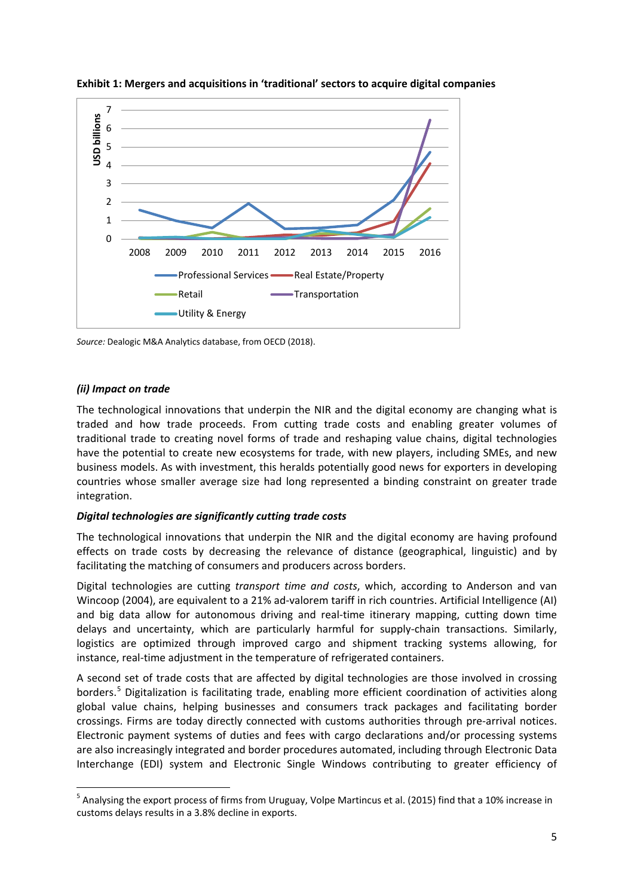

**Exhibit 1: Mergers and acquisitions in 'traditional' sectors to acquire digital companies**

*Source:* Dealogic M&A Analytics database, from OECD (2018).

### *(ii) Impact on trade*

The technological innovations that underpin the NIR and the digital economy are changing what is traded and how trade proceeds. From cutting trade costs and enabling greater volumes of traditional trade to creating novel forms of trade and reshaping value chains, digital technologies have the potential to create new ecosystems for trade, with new players, including SMEs, and new business models. As with investment, this heralds potentially good news for exporters in developing countries whose smaller average size had long represented a binding constraint on greater trade integration.

### *Digital technologies are significantly cutting trade costs*

The technological innovations that underpin the NIR and the digital economy are having profound effects on trade costs by decreasing the relevance of distance (geographical, linguistic) and by facilitating the matching of consumers and producers across borders.

Digital technologies are cutting *transport time and costs*, which, according to Anderson and van Wincoop (2004), are equivalent to a 21% ad-valorem tariff in rich countries. Artificial Intelligence (AI) and big data allow for autonomous driving and real-time itinerary mapping, cutting down time delays and uncertainty, which are particularly harmful for supply-chain transactions. Similarly, logistics are optimized through improved cargo and shipment tracking systems allowing, for instance, real-time adjustment in the temperature of refrigerated containers.

A second set of trade costs that are affected by digital technologies are those involved in crossing borders.<sup>[5](#page-4-0)</sup> Digitalization is facilitating trade, enabling more efficient coordination of activities along global value chains, helping businesses and consumers track packages and facilitating border crossings. Firms are today directly connected with customs authorities through pre-arrival notices. Electronic payment systems of duties and fees with cargo declarations and/or processing systems are also increasingly integrated and border procedures automated, including through Electronic Data Interchange (EDI) system and Electronic Single Windows contributing to greater efficiency of

<span id="page-4-0"></span><sup>&</sup>lt;sup>5</sup> Analysing the export process of firms from Uruguay, Volpe Martincus et al. (2015) find that a 10% increase in customs delays results in a 3.8% decline in exports.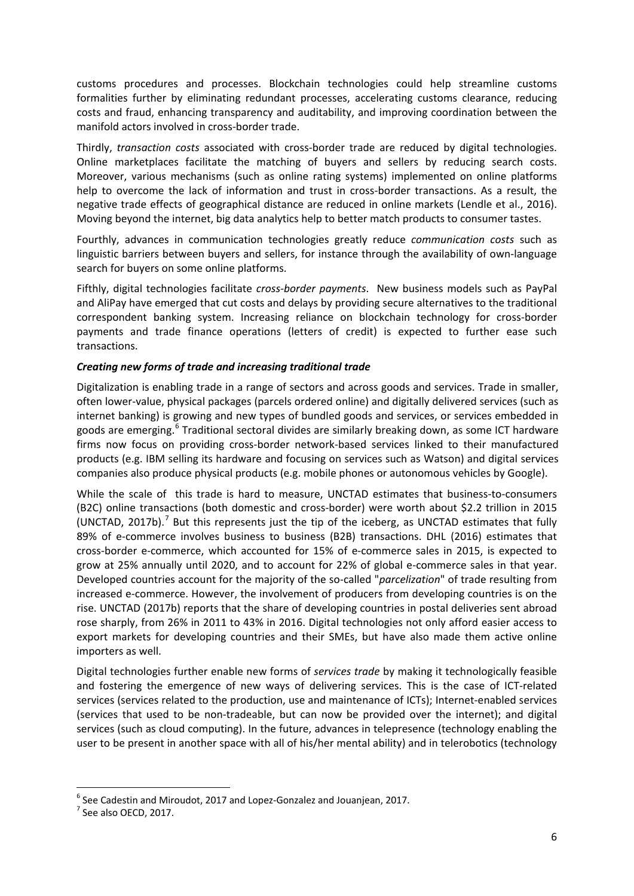customs procedures and processes. Blockchain technologies could help streamline customs formalities further by eliminating redundant processes, accelerating customs clearance, reducing costs and fraud, enhancing transparency and auditability, and improving coordination between the manifold actors involved in cross-border trade.

Thirdly, *transaction costs* associated with cross-border trade are reduced by digital technologies. Online marketplaces facilitate the matching of buyers and sellers by reducing search costs. Moreover, various mechanisms (such as online rating systems) implemented on online platforms help to overcome the lack of information and trust in cross-border transactions. As a result, the negative trade effects of geographical distance are reduced in online markets (Lendle et al., 2016). Moving beyond the internet, big data analytics help to better match products to consumer tastes.

Fourthly, advances in communication technologies greatly reduce *communication costs* such as linguistic barriers between buyers and sellers, for instance through the availability of own-language search for buyers on some online platforms.

Fifthly, digital technologies facilitate *cross-border payments*. New business models such as PayPal and AliPay have emerged that cut costs and delays by providing secure alternatives to the traditional correspondent banking system. Increasing reliance on blockchain technology for cross-border payments and trade finance operations (letters of credit) is expected to further ease such transactions.

### *Creating new forms of trade and increasing traditional trade*

Digitalization is enabling trade in a range of sectors and across goods and services. Trade in smaller, often lower-value, physical packages (parcels ordered online) and digitally delivered services (such as internet banking) is growing and new types of bundled goods and services, or services embedded in goods are emerging.<sup>[6](#page-5-0)</sup> Traditional sectoral divides are similarly breaking down, as some ICT hardware firms now focus on providing cross-border network-based services linked to their manufactured products (e.g. IBM selling its hardware and focusing on services such as Watson) and digital services companies also produce physical products (e.g. mobile phones or autonomous vehicles by Google).

While the scale of this trade is hard to measure, UNCTAD estimates that business-to-consumers (B2C) online transactions (both domestic and cross-border) were worth about \$2.2 trillion in 2015 (UNCTAD, 201[7](#page-5-1)b).<sup>7</sup> But this represents just the tip of the iceberg, as UNCTAD estimates that fully 89% of e-commerce involves business to business (B2B) transactions. DHL (2016) estimates that cross-border e-commerce, which accounted for 15% of e-commerce sales in 2015, is expected to grow at 25% annually until 2020, and to account for 22% of global e-commerce sales in that year. Developed countries account for the majority of the so-called "*parcelization*" of trade resulting from increased e-commerce. However, the involvement of producers from developing countries is on the rise. UNCTAD (2017b) reports that the share of developing countries in postal deliveries sent abroad rose sharply, from 26% in 2011 to 43% in 2016. Digital technologies not only afford easier access to export markets for developing countries and their SMEs, but have also made them active online importers as well.

Digital technologies further enable new forms of *services trade* by making it technologically feasible and fostering the emergence of new ways of delivering services. This is the case of ICT-related services (services related to the production, use and maintenance of ICTs); Internet-enabled services (services that used to be non-tradeable, but can now be provided over the internet); and digital services (such as cloud computing). In the future, advances in telepresence (technology enabling the user to be present in another space with all of his/her mental ability) and in telerobotics (technology

<span id="page-5-0"></span> $^6$  See Cadestin and Miroudot, 2017 and Lopez-Gonzalez and Jouanjean, 2017.<br><sup>7</sup> See also OECD. 2017.

<span id="page-5-1"></span>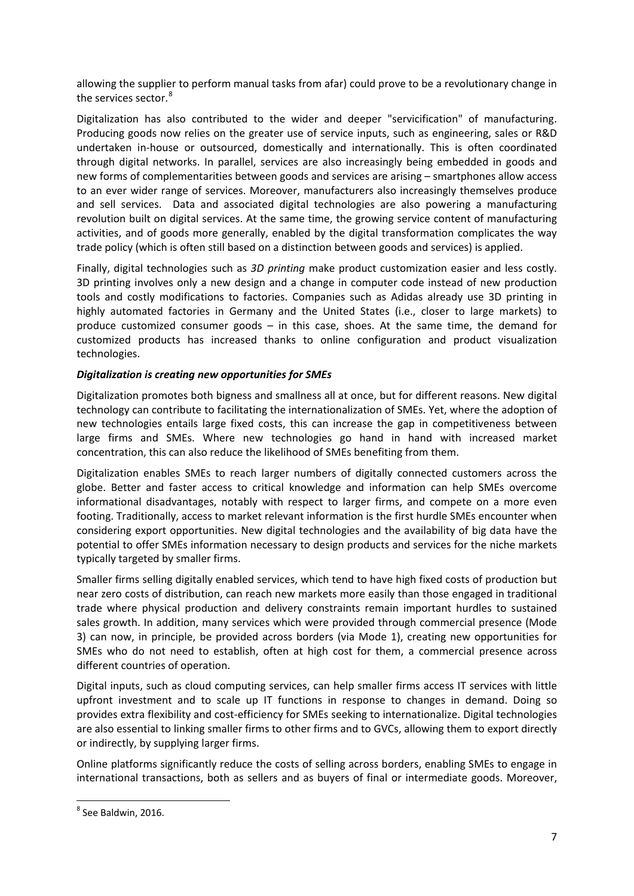allowing the supplier to perform manual tasks from afar) could prove to be a revolutionary change in the services sector.<sup>[8](#page-6-0)</sup>

Digitalization has also contributed to the wider and deeper "servicification" of manufacturing. Producing goods now relies on the greater use of service inputs, such as engineering, sales or R&D undertaken in-house or outsourced, domestically and internationally. This is often coordinated through digital networks. In parallel, services are also increasingly being embedded in goods and new forms of complementarities between goods and services are arising – smartphones allow access to an ever wider range of services. Moreover, manufacturers also increasingly themselves produce and sell services. Data and associated digital technologies are also powering a manufacturing revolution built on digital services. At the same time, the growing service content of manufacturing activities, and of goods more generally, enabled by the digital transformation complicates the way trade policy (which is often still based on a distinction between goods and services) is applied.

Finally, digital technologies such as *3D printing* make product customization easier and less costly. 3D printing involves only a new design and a change in computer code instead of new production tools and costly modifications to factories. Companies such as Adidas already use 3D printing in highly automated factories in Germany and the United States (i.e., closer to large markets) to produce customized consumer goods – in this case, shoes. At the same time, the demand for customized products has increased thanks to online configuration and product visualization technologies.

## *Digitalization is creating new opportunities for SMEs*

Digitalization promotes both bigness and smallness all at once, but for different reasons. New digital technology can contribute to facilitating the internationalization of SMEs. Yet, where the adoption of new technologies entails large fixed costs, this can increase the gap in competitiveness between large firms and SMEs. Where new technologies go hand in hand with increased market concentration, this can also reduce the likelihood of SMEs benefiting from them.

Digitalization enables SMEs to reach larger numbers of digitally connected customers across the globe. Better and faster access to critical knowledge and information can help SMEs overcome informational disadvantages, notably with respect to larger firms, and compete on a more even footing. Traditionally, access to market relevant information is the first hurdle SMEs encounter when considering export opportunities. New digital technologies and the availability of big data have the potential to offer SMEs information necessary to design products and services for the niche markets typically targeted by smaller firms.

Smaller firms selling digitally enabled services, which tend to have high fixed costs of production but near zero costs of distribution, can reach new markets more easily than those engaged in traditional trade where physical production and delivery constraints remain important hurdles to sustained sales growth. In addition, many services which were provided through commercial presence (Mode 3) can now, in principle, be provided across borders (via Mode 1), creating new opportunities for SMEs who do not need to establish, often at high cost for them, a commercial presence across different countries of operation.

Digital inputs, such as cloud computing services, can help smaller firms access IT services with little upfront investment and to scale up IT functions in response to changes in demand. Doing so provides extra flexibility and cost-efficiency for SMEs seeking to internationalize. Digital technologies are also essential to linking smaller firms to other firms and to GVCs, allowing them to export directly or indirectly, by supplying larger firms.

Online platforms significantly reduce the costs of selling across borders, enabling SMEs to engage in international transactions, both as sellers and as buyers of final or intermediate goods. Moreover,

<span id="page-6-0"></span> <sup>8</sup> See Baldwin, 2016.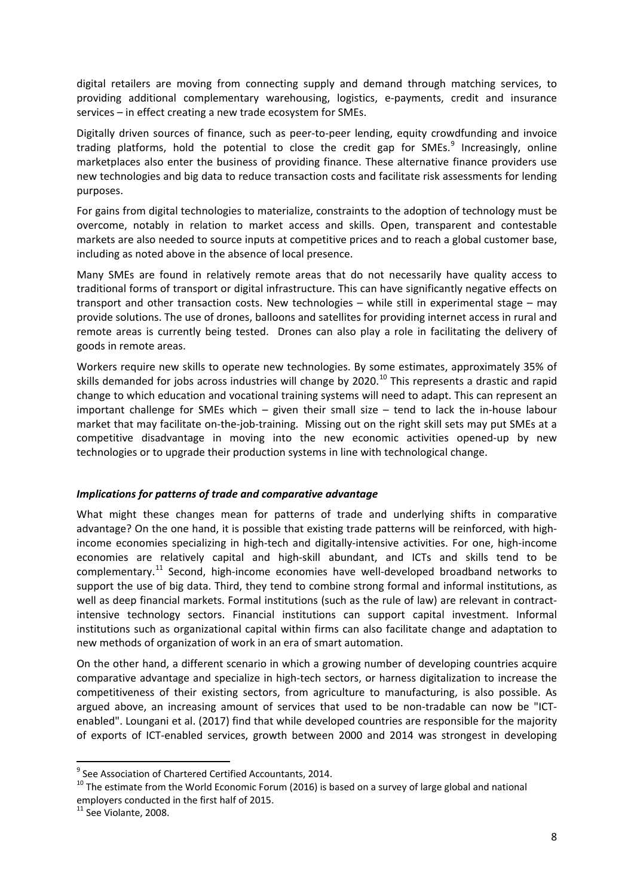digital retailers are moving from connecting supply and demand through matching services, to providing additional complementary warehousing, logistics, e-payments, credit and insurance services – in effect creating a new trade ecosystem for SMEs.

Digitally driven sources of finance, such as peer-to-peer lending, equity crowdfunding and invoice trading platforms, hold the potential to close the credit gap for SMEs.<sup>[9](#page-7-0)</sup> Increasingly, online marketplaces also enter the business of providing finance. These alternative finance providers use new technologies and big data to reduce transaction costs and facilitate risk assessments for lending purposes.

For gains from digital technologies to materialize, constraints to the adoption of technology must be overcome, notably in relation to market access and skills. Open, transparent and contestable markets are also needed to source inputs at competitive prices and to reach a global customer base, including as noted above in the absence of local presence.

Many SMEs are found in relatively remote areas that do not necessarily have quality access to traditional forms of transport or digital infrastructure. This can have significantly negative effects on transport and other transaction costs. New technologies – while still in experimental stage – may provide solutions. The use of drones, balloons and satellites for providing internet access in rural and remote areas is currently being tested. Drones can also play a role in facilitating the delivery of goods in remote areas.

Workers require new skills to operate new technologies. By some estimates, approximately 35% of skills demanded for jobs across industries will change by 2020.<sup>[10](#page-7-1)</sup> This represents a drastic and rapid change to which education and vocational training systems will need to adapt. This can represent an important challenge for SMEs which – given their small size – tend to lack the in-house labour market that may facilitate on-the-job-training. Missing out on the right skill sets may put SMEs at a competitive disadvantage in moving into the new economic activities opened-up by new technologies or to upgrade their production systems in line with technological change.

### *Implications for patterns of trade and comparative advantage*

What might these changes mean for patterns of trade and underlying shifts in comparative advantage? On the one hand, it is possible that existing trade patterns will be reinforced, with highincome economies specializing in high-tech and digitally-intensive activities. For one, high-income economies are relatively capital and high-skill abundant, and ICTs and skills tend to be complementary.[11](#page-7-2) Second, high-income economies have well-developed broadband networks to support the use of big data. Third, they tend to combine strong formal and informal institutions, as well as deep financial markets. Formal institutions (such as the rule of law) are relevant in contractintensive technology sectors. Financial institutions can support capital investment. Informal institutions such as organizational capital within firms can also facilitate change and adaptation to new methods of organization of work in an era of smart automation.

On the other hand, a different scenario in which a growing number of developing countries acquire comparative advantage and specialize in high-tech sectors, or harness digitalization to increase the competitiveness of their existing sectors, from agriculture to manufacturing, is also possible. As argued above, an increasing amount of services that used to be non-tradable can now be "ICTenabled". Loungani et al. (2017) find that while developed countries are responsible for the majority of exports of ICT-enabled services, growth between 2000 and 2014 was strongest in developing

<span id="page-7-1"></span><span id="page-7-0"></span><sup>&</sup>lt;sup>9</sup> See Association of Chartered Certified Accountants, 2014.<br><sup>10</sup> The estimate from the World Economic Forum (2016) is based on a survey of large global and national employers conducted in the first half of 2015.<br><sup>11</sup> See Violante, 2008.

<span id="page-7-2"></span>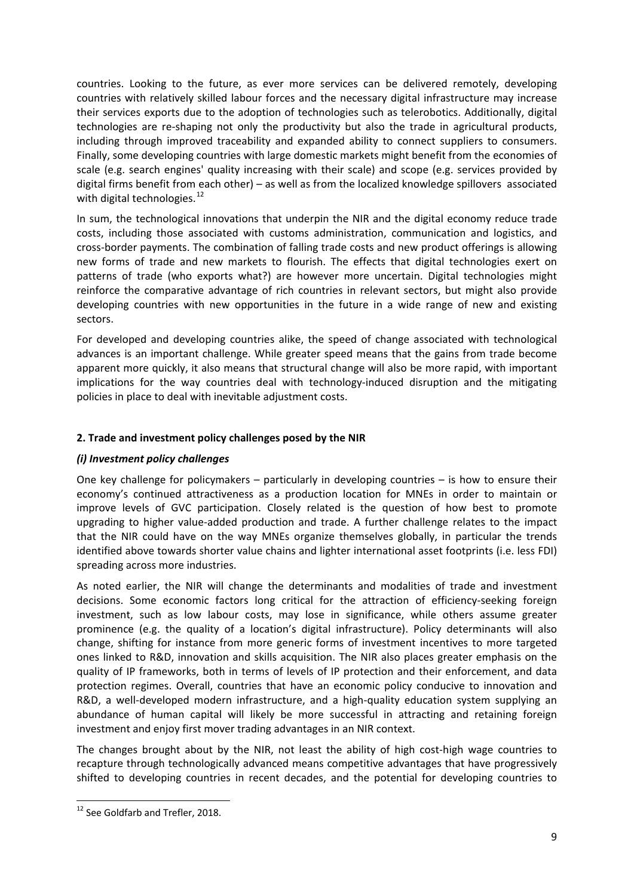countries. Looking to the future, as ever more services can be delivered remotely, developing countries with relatively skilled labour forces and the necessary digital infrastructure may increase their services exports due to the adoption of technologies such as telerobotics. Additionally, digital technologies are re-shaping not only the productivity but also the trade in agricultural products, including through improved traceability and expanded ability to connect suppliers to consumers. Finally, some developing countries with large domestic markets might benefit from the economies of scale (e.g. search engines' quality increasing with their scale) and scope (e.g. services provided by digital firms benefit from each other) – as well as from the localized knowledge spillovers associated with digital technologies. $^{12}$  $^{12}$  $^{12}$ 

In sum, the technological innovations that underpin the NIR and the digital economy reduce trade costs, including those associated with customs administration, communication and logistics, and cross-border payments. The combination of falling trade costs and new product offerings is allowing new forms of trade and new markets to flourish. The effects that digital technologies exert on patterns of trade (who exports what?) are however more uncertain. Digital technologies might reinforce the comparative advantage of rich countries in relevant sectors, but might also provide developing countries with new opportunities in the future in a wide range of new and existing sectors.

For developed and developing countries alike, the speed of change associated with technological advances is an important challenge. While greater speed means that the gains from trade become apparent more quickly, it also means that structural change will also be more rapid, with important implications for the way countries deal with technology-induced disruption and the mitigating policies in place to deal with inevitable adjustment costs.

## **2. Trade and investment policy challenges posed by the NIR**

### *(i) Investment policy challenges*

One key challenge for policymakers  $-$  particularly in developing countries  $-$  is how to ensure their economy's continued attractiveness as a production location for MNEs in order to maintain or improve levels of GVC participation. Closely related is the question of how best to promote upgrading to higher value-added production and trade. A further challenge relates to the impact that the NIR could have on the way MNEs organize themselves globally, in particular the trends identified above towards shorter value chains and lighter international asset footprints (i.e. less FDI) spreading across more industries.

As noted earlier, the NIR will change the determinants and modalities of trade and investment decisions. Some economic factors long critical for the attraction of efficiency-seeking foreign investment, such as low labour costs, may lose in significance, while others assume greater prominence (e.g. the quality of a location's digital infrastructure). Policy determinants will also change, shifting for instance from more generic forms of investment incentives to more targeted ones linked to R&D, innovation and skills acquisition. The NIR also places greater emphasis on the quality of IP frameworks, both in terms of levels of IP protection and their enforcement, and data protection regimes. Overall, countries that have an economic policy conducive to innovation and R&D, a well-developed modern infrastructure, and a high-quality education system supplying an abundance of human capital will likely be more successful in attracting and retaining foreign investment and enjoy first mover trading advantages in an NIR context.

The changes brought about by the NIR, not least the ability of high cost-high wage countries to recapture through technologically advanced means competitive advantages that have progressively shifted to developing countries in recent decades, and the potential for developing countries to

<span id="page-8-0"></span><sup>&</sup>lt;sup>12</sup> See Goldfarb and Trefler, 2018.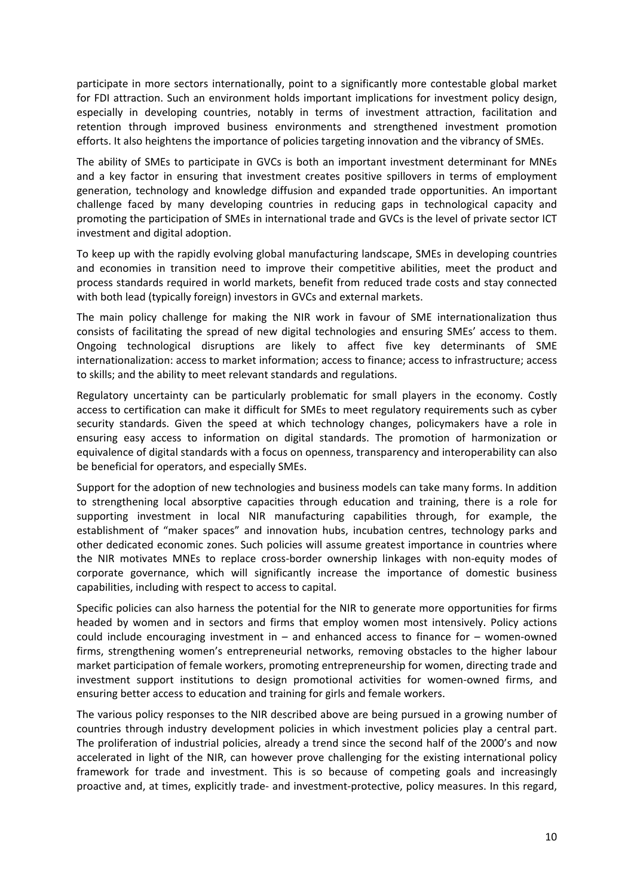participate in more sectors internationally, point to a significantly more contestable global market for FDI attraction. Such an environment holds important implications for investment policy design, especially in developing countries, notably in terms of investment attraction, facilitation and retention through improved business environments and strengthened investment promotion efforts. It also heightens the importance of policies targeting innovation and the vibrancy of SMEs.

The ability of SMEs to participate in GVCs is both an important investment determinant for MNEs and a key factor in ensuring that investment creates positive spillovers in terms of employment generation, technology and knowledge diffusion and expanded trade opportunities. An important challenge faced by many developing countries in reducing gaps in technological capacity and promoting the participation of SMEs in international trade and GVCs is the level of private sector ICT investment and digital adoption.

To keep up with the rapidly evolving global manufacturing landscape, SMEs in developing countries and economies in transition need to improve their competitive abilities, meet the product and process standards required in world markets, benefit from reduced trade costs and stay connected with both lead (typically foreign) investors in GVCs and external markets.

The main policy challenge for making the NIR work in favour of SME internationalization thus consists of facilitating the spread of new digital technologies and ensuring SMEs' access to them. Ongoing technological disruptions are likely to affect five key determinants of SME internationalization: access to market information; access to finance; access to infrastructure; access to skills; and the ability to meet relevant standards and regulations.

Regulatory uncertainty can be particularly problematic for small players in the economy. Costly access to certification can make it difficult for SMEs to meet regulatory requirements such as cyber security standards. Given the speed at which technology changes, policymakers have a role in ensuring easy access to information on digital standards. The promotion of harmonization or equivalence of digital standards with a focus on openness, transparency and interoperability can also be beneficial for operators, and especially SMEs.

Support for the adoption of new technologies and business models can take many forms. In addition to strengthening local absorptive capacities through education and training, there is a role for supporting investment in local NIR manufacturing capabilities through, for example, the establishment of "maker spaces" and innovation hubs, incubation centres, technology parks and other dedicated economic zones. Such policies will assume greatest importance in countries where the NIR motivates MNEs to replace cross-border ownership linkages with non-equity modes of corporate governance, which will significantly increase the importance of domestic business capabilities, including with respect to access to capital.

Specific policies can also harness the potential for the NIR to generate more opportunities for firms headed by women and in sectors and firms that employ women most intensively. Policy actions could include encouraging investment in  $-$  and enhanced access to finance for  $-$  women-owned firms, strengthening women's entrepreneurial networks, removing obstacles to the higher labour market participation of female workers, promoting entrepreneurship for women, directing trade and investment support institutions to design promotional activities for women-owned firms, and ensuring better access to education and training for girls and female workers.

The various policy responses to the NIR described above are being pursued in a growing number of countries through industry development policies in which investment policies play a central part. The proliferation of industrial policies, already a trend since the second half of the 2000's and now accelerated in light of the NIR, can however prove challenging for the existing international policy framework for trade and investment. This is so because of competing goals and increasingly proactive and, at times, explicitly trade- and investment-protective, policy measures. In this regard,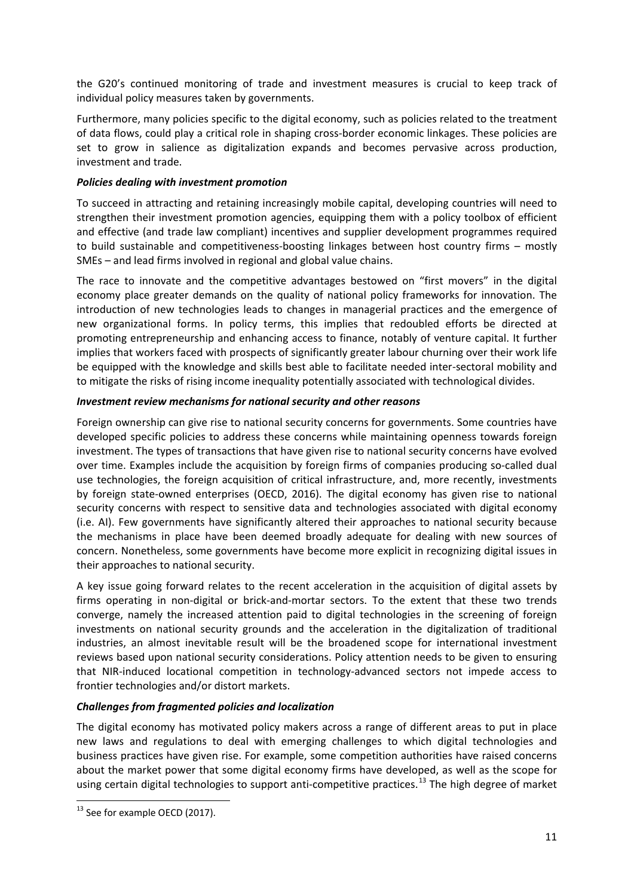the G20's continued monitoring of trade and investment measures is crucial to keep track of individual policy measures taken by governments.

Furthermore, many policies specific to the digital economy, such as policies related to the treatment of data flows, could play a critical role in shaping cross-border economic linkages. These policies are set to grow in salience as digitalization expands and becomes pervasive across production, investment and trade.

## *Policies dealing with investment promotion*

To succeed in attracting and retaining increasingly mobile capital, developing countries will need to strengthen their investment promotion agencies, equipping them with a policy toolbox of efficient and effective (and trade law compliant) incentives and supplier development programmes required to build sustainable and competitiveness-boosting linkages between host country firms – mostly SMEs – and lead firms involved in regional and global value chains.

The race to innovate and the competitive advantages bestowed on "first movers" in the digital economy place greater demands on the quality of national policy frameworks for innovation. The introduction of new technologies leads to changes in managerial practices and the emergence of new organizational forms. In policy terms, this implies that redoubled efforts be directed at promoting entrepreneurship and enhancing access to finance, notably of venture capital. It further implies that workers faced with prospects of significantly greater labour churning over their work life be equipped with the knowledge and skills best able to facilitate needed inter-sectoral mobility and to mitigate the risks of rising income inequality potentially associated with technological divides.

## *Investment review mechanisms for national security and other reasons*

Foreign ownership can give rise to national security concerns for governments. Some countries have developed specific policies to address these concerns while maintaining openness towards foreign investment. The types of transactions that have given rise to national security concerns have evolved over time. Examples include the acquisition by foreign firms of companies producing so-called dual use technologies, the foreign acquisition of critical infrastructure, and, more recently, investments by foreign state-owned enterprises (OECD, 2016). The digital economy has given rise to national security concerns with respect to sensitive data and technologies associated with digital economy (i.e. AI). Few governments have significantly altered their approaches to national security because the mechanisms in place have been deemed broadly adequate for dealing with new sources of concern. Nonetheless, some governments have become more explicit in recognizing digital issues in their approaches to national security.

A key issue going forward relates to the recent acceleration in the acquisition of digital assets by firms operating in non-digital or brick-and-mortar sectors. To the extent that these two trends converge, namely the increased attention paid to digital technologies in the screening of foreign investments on national security grounds and the acceleration in the digitalization of traditional industries, an almost inevitable result will be the broadened scope for international investment reviews based upon national security considerations. Policy attention needs to be given to ensuring that NIR-induced locational competition in technology-advanced sectors not impede access to frontier technologies and/or distort markets.

## *Challenges from fragmented policies and localization*

The digital economy has motivated policy makers across a range of different areas to put in place new laws and regulations to deal with emerging challenges to which digital technologies and business practices have given rise. For example, some competition authorities have raised concerns about the market power that some digital economy firms have developed, as well as the scope for using certain digital technologies to support anti-competitive practices.<sup>[13](#page-10-0)</sup> The high degree of market

<span id="page-10-0"></span> $13$  See for example OECD (2017).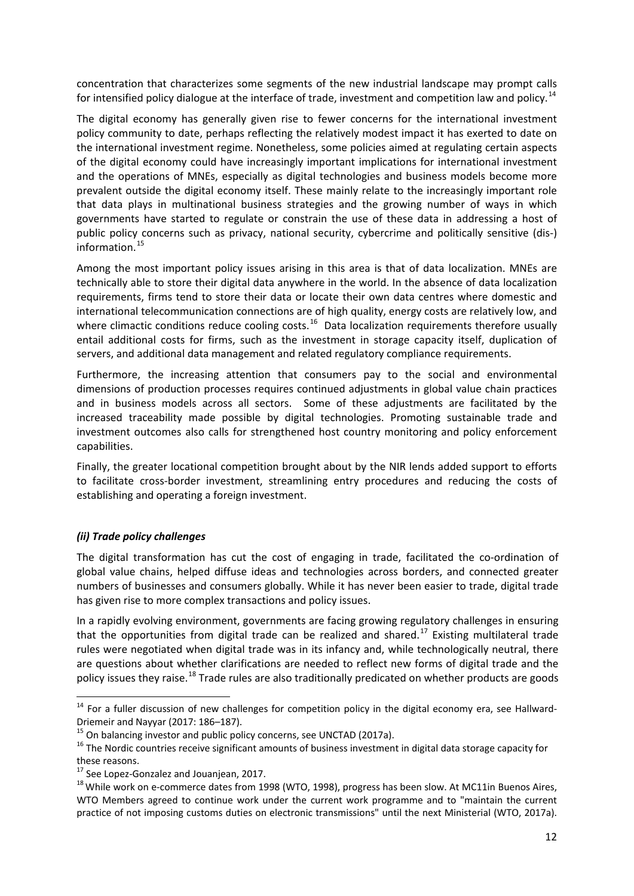concentration that characterizes some segments of the new industrial landscape may prompt calls for intensified policy dialogue at the interface of trade, investment and competition law and policy.<sup>[14](#page-11-0)</sup>

The digital economy has generally given rise to fewer concerns for the international investment policy community to date, perhaps reflecting the relatively modest impact it has exerted to date on the international investment regime. Nonetheless, some policies aimed at regulating certain aspects of the digital economy could have increasingly important implications for international investment and the operations of MNEs, especially as digital technologies and business models become more prevalent outside the digital economy itself. These mainly relate to the increasingly important role that data plays in multinational business strategies and the growing number of ways in which governments have started to regulate or constrain the use of these data in addressing a host of public policy concerns such as privacy, national security, cybercrime and politically sensitive (dis-) information.<sup>[15](#page-11-1)</sup>

Among the most important policy issues arising in this area is that of data localization. MNEs are technically able to store their digital data anywhere in the world. In the absence of data localization requirements, firms tend to store their data or locate their own data centres where domestic and international telecommunication connections are of high quality, energy costs are relatively low, and where climactic conditions reduce cooling costs.<sup>[16](#page-11-2)</sup> Data localization requirements therefore usually entail additional costs for firms, such as the investment in storage capacity itself, duplication of servers, and additional data management and related regulatory compliance requirements.

Furthermore, the increasing attention that consumers pay to the social and environmental dimensions of production processes requires continued adjustments in global value chain practices and in business models across all sectors. Some of these adjustments are facilitated by the increased traceability made possible by digital technologies. Promoting sustainable trade and investment outcomes also calls for strengthened host country monitoring and policy enforcement capabilities.

Finally, the greater locational competition brought about by the NIR lends added support to efforts to facilitate cross-border investment, streamlining entry procedures and reducing the costs of establishing and operating a foreign investment.

### *(ii) Trade policy challenges*

The digital transformation has cut the cost of engaging in trade, facilitated the co-ordination of global value chains, helped diffuse ideas and technologies across borders, and connected greater numbers of businesses and consumers globally. While it has never been easier to trade, digital trade has given rise to more complex transactions and policy issues.

In a rapidly evolving environment, governments are facing growing regulatory challenges in ensuring that the opportunities from digital trade can be realized and shared.<sup>[17](#page-11-3)</sup> Existing multilateral trade rules were negotiated when digital trade was in its infancy and, while technologically neutral, there are questions about whether clarifications are needed to reflect new forms of digital trade and the policy issues they raise.<sup>[18](#page-11-4)</sup> Trade rules are also traditionally predicated on whether products are goods

<span id="page-11-0"></span><sup>&</sup>lt;sup>14</sup> For a fuller discussion of new challenges for competition policy in the digital economy era, see Hallward-Driemeir and Nayyar (2017: 186–187).<br><sup>15</sup> On balancing investor and public policy concerns, see UNCTAD (2017a).<br><sup>16</sup> The Nordic countries receive significant amounts of business investment in digital data storage capacity

<span id="page-11-2"></span><span id="page-11-1"></span>these reasons.<br><sup>17</sup> See Lopez-Gonzalez and Jouanjean, 2017.

<span id="page-11-4"></span><span id="page-11-3"></span><sup>&</sup>lt;sup>18</sup> While work on e-commerce dates from 1998 (WTO, 1998), progress has been slow. At MC11in Buenos Aires, WTO Members agreed to continue work under the current work programme and to "maintain the current practice of not imposing customs duties on electronic transmissions" until the next Ministerial (WTO, 2017a).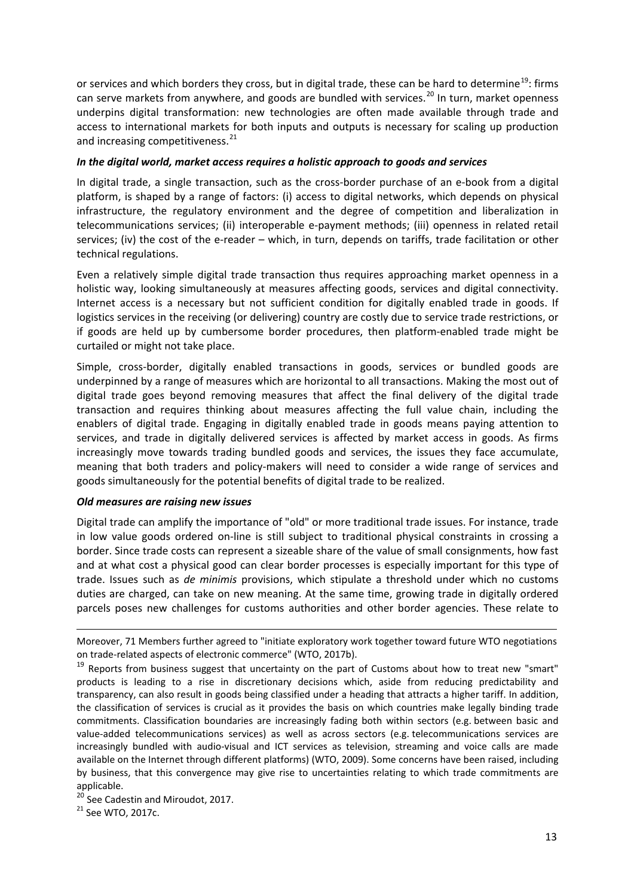or services and which borders they cross, but in digital trade, these can be hard to determine<sup>[19](#page-12-0)</sup>: firms can serve markets from anywhere, and goods are bundled with services.<sup>[20](#page-12-1)</sup> In turn, market openness underpins digital transformation: new technologies are often made available through trade and access to international markets for both inputs and outputs is necessary for scaling up production and increasing competitiveness.<sup>[21](#page-12-2)</sup>

## *In the digital world, market access requires a holistic approach to goods and services*

In digital trade, a single transaction, such as the cross-border purchase of an e-book from a digital platform, is shaped by a range of factors: (i) access to digital networks, which depends on physical infrastructure, the regulatory environment and the degree of competition and liberalization in telecommunications services; (ii) interoperable e-payment methods; (iii) openness in related retail services; (iv) the cost of the e-reader – which, in turn, depends on tariffs, trade facilitation or other technical regulations.

Even a relatively simple digital trade transaction thus requires approaching market openness in a holistic way, looking simultaneously at measures affecting goods, services and digital connectivity. Internet access is a necessary but not sufficient condition for digitally enabled trade in goods. If logistics services in the receiving (or delivering) country are costly due to service trade restrictions, or if goods are held up by cumbersome border procedures, then platform-enabled trade might be curtailed or might not take place.

Simple, cross-border, digitally enabled transactions in goods, services or bundled goods are underpinned by a range of measures which are horizontal to all transactions. Making the most out of digital trade goes beyond removing measures that affect the final delivery of the digital trade transaction and requires thinking about measures affecting the full value chain, including the enablers of digital trade. Engaging in digitally enabled trade in goods means paying attention to services, and trade in digitally delivered services is affected by market access in goods. As firms increasingly move towards trading bundled goods and services, the issues they face accumulate, meaning that both traders and policy-makers will need to consider a wide range of services and goods simultaneously for the potential benefits of digital trade to be realized.

### *Old measures are raising new issues*

Digital trade can amplify the importance of "old" or more traditional trade issues. For instance, trade in low value goods ordered on-line is still subject to traditional physical constraints in crossing a border. Since trade costs can represent a sizeable share of the value of small consignments, how fast and at what cost a physical good can clear border processes is especially important for this type of trade. Issues such as *de minimis* provisions, which stipulate a threshold under which no customs duties are charged, can take on new meaning. At the same time, growing trade in digitally ordered parcels poses new challenges for customs authorities and other border agencies. These relate to

<span id="page-12-1"></span><sup>20</sup> See Cadestin and Miroudot, 2017.

<span id="page-12-2"></span><sup>21</sup> See WTO, 2017c.

**.** 

Moreover, 71 Members further agreed to "initiate exploratory work together toward future WTO negotiations on trade-related aspects of electronic commerce" (WTO, 2017b).

<span id="page-12-0"></span><sup>&</sup>lt;sup>19</sup> Reports from business suggest that uncertainty on the part of Customs about how to treat new "smart" products is leading to a rise in discretionary decisions which, aside from reducing predictability and transparency, can also result in goods being classified under a heading that attracts a higher tariff. In addition, the classification of services is crucial as it provides the basis on which countries make legally binding trade commitments. Classification boundaries are increasingly fading both within sectors (e.g. between basic and value-added telecommunications services) as well as across sectors (e.g. telecommunications services are increasingly bundled with audio-visual and ICT services as television, streaming and voice calls are made available on the Internet through different platforms) (WTO, 2009). Some concerns have been raised, including by business, that this convergence may give rise to uncertainties relating to which trade commitments are applicable.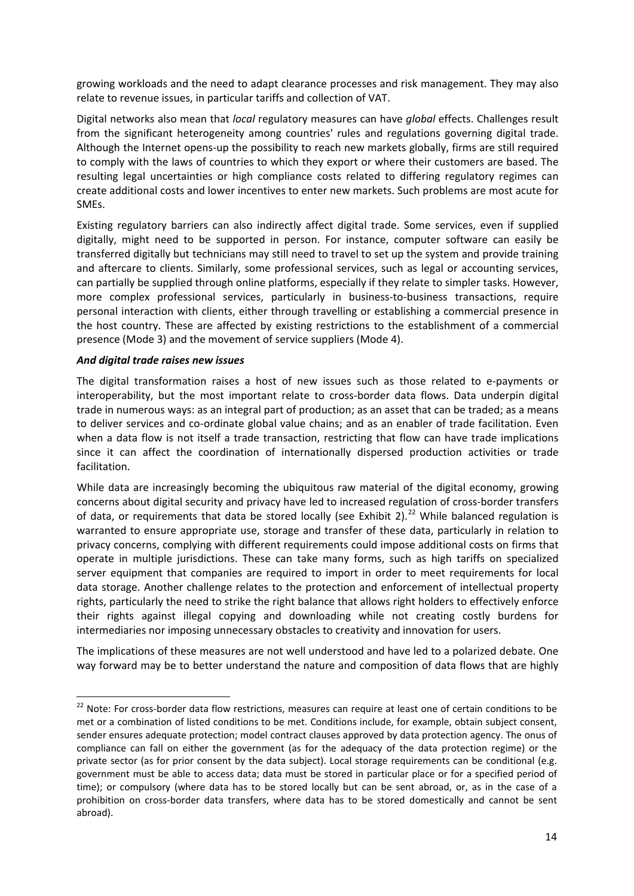growing workloads and the need to adapt clearance processes and risk management. They may also relate to revenue issues, in particular tariffs and collection of VAT.

Digital networks also mean that *local* regulatory measures can have *global* effects. Challenges result from the significant heterogeneity among countries' rules and regulations governing digital trade. Although the Internet opens-up the possibility to reach new markets globally, firms are still required to comply with the laws of countries to which they export or where their customers are based. The resulting legal uncertainties or high compliance costs related to differing regulatory regimes can create additional costs and lower incentives to enter new markets. Such problems are most acute for SMEs.

Existing regulatory barriers can also indirectly affect digital trade. Some services, even if supplied digitally, might need to be supported in person. For instance, computer software can easily be transferred digitally but technicians may still need to travel to set up the system and provide training and aftercare to clients. Similarly, some professional services, such as legal or accounting services, can partially be supplied through online platforms, especially if they relate to simpler tasks. However, more complex professional services, particularly in business-to-business transactions, require personal interaction with clients, either through travelling or establishing a commercial presence in the host country. These are affected by existing restrictions to the establishment of a commercial presence (Mode 3) and the movement of service suppliers (Mode 4).

#### *And digital trade raises new issues*

The digital transformation raises a host of new issues such as those related to e-payments or interoperability, but the most important relate to cross-border data flows. Data underpin digital trade in numerous ways: as an integral part of production; as an asset that can be traded; as a means to deliver services and co-ordinate global value chains; and as an enabler of trade facilitation. Even when a data flow is not itself a trade transaction, restricting that flow can have trade implications since it can affect the coordination of internationally dispersed production activities or trade facilitation.

While data are increasingly becoming the ubiquitous raw material of the digital economy, growing concerns about digital security and privacy have led to increased regulation of cross-border transfers of data, or requirements that data be stored locally (see Exhibit 2).<sup>[22](#page-13-0)</sup> While balanced regulation is warranted to ensure appropriate use, storage and transfer of these data, particularly in relation to privacy concerns, complying with different requirements could impose additional costs on firms that operate in multiple jurisdictions. These can take many forms, such as high tariffs on specialized server equipment that companies are required to import in order to meet requirements for local data storage. Another challenge relates to the protection and enforcement of intellectual property rights, particularly the need to strike the right balance that allows right holders to effectively enforce their rights against illegal copying and downloading while not creating costly burdens for intermediaries nor imposing unnecessary obstacles to creativity and innovation for users.

The implications of these measures are not well understood and have led to a polarized debate. One way forward may be to better understand the nature and composition of data flows that are highly

<span id="page-13-0"></span><sup>&</sup>lt;sup>22</sup> Note: For cross-border data flow restrictions, measures can require at least one of certain conditions to be met or a combination of listed conditions to be met. Conditions include, for example, obtain subject consent, sender ensures adequate protection; model contract clauses approved by data protection agency. The onus of compliance can fall on either the government (as for the adequacy of the data protection regime) or the private sector (as for prior consent by the data subject). Local storage requirements can be conditional (e.g. government must be able to access data; data must be stored in particular place or for a specified period of time); or compulsory (where data has to be stored locally but can be sent abroad, or, as in the case of a prohibition on cross-border data transfers, where data has to be stored domestically and cannot be sent abroad).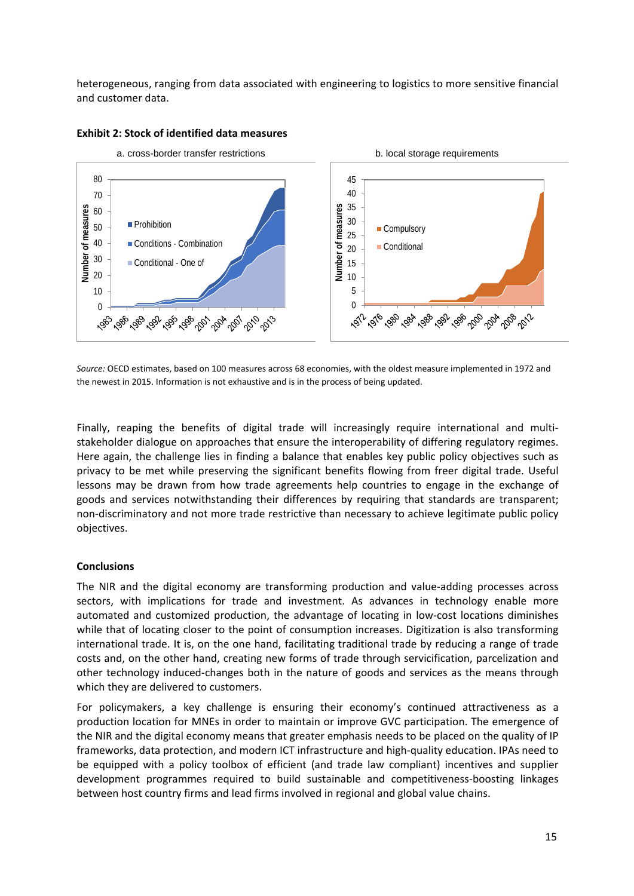heterogeneous, ranging from data associated with engineering to logistics to more sensitive financial and customer data.



#### **Exhibit 2: Stock of identified data measures**

*Source:* OECD estimates, based on 100 measures across 68 economies, with the oldest measure implemented in 1972 and the newest in 2015. Information is not exhaustive and is in the process of being updated.

Finally, reaping the benefits of digital trade will increasingly require international and multistakeholder dialogue on approaches that ensure the interoperability of differing regulatory regimes. Here again, the challenge lies in finding a balance that enables key public policy objectives such as privacy to be met while preserving the significant benefits flowing from freer digital trade. Useful lessons may be drawn from how trade agreements help countries to engage in the exchange of goods and services notwithstanding their differences by requiring that standards are transparent; non-discriminatory and not more trade restrictive than necessary to achieve legitimate public policy objectives.

### **Conclusions**

The NIR and the digital economy are transforming production and value-adding processes across sectors, with implications for trade and investment. As advances in technology enable more automated and customized production, the advantage of locating in low-cost locations diminishes while that of locating closer to the point of consumption increases. Digitization is also transforming international trade. It is, on the one hand, facilitating traditional trade by reducing a range of trade costs and, on the other hand, creating new forms of trade through servicification, parcelization and other technology induced-changes both in the nature of goods and services as the means through which they are delivered to customers.

For policymakers, a key challenge is ensuring their economy's continued attractiveness as a production location for MNEs in order to maintain or improve GVC participation. The emergence of the NIR and the digital economy means that greater emphasis needs to be placed on the quality of IP frameworks, data protection, and modern ICT infrastructure and high-quality education. IPAs need to be equipped with a policy toolbox of efficient (and trade law compliant) incentives and supplier development programmes required to build sustainable and competitiveness-boosting linkages between host country firms and lead firms involved in regional and global value chains.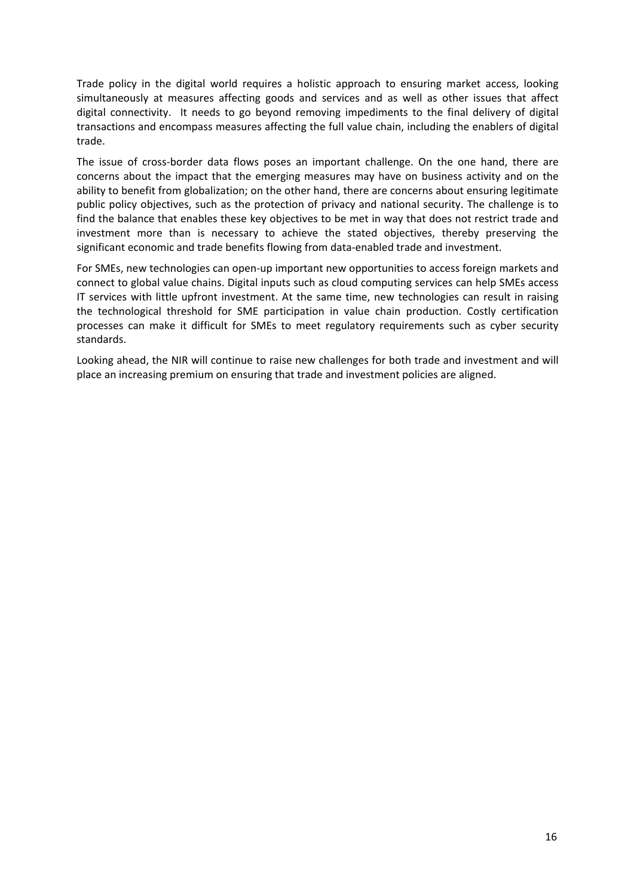Trade policy in the digital world requires a holistic approach to ensuring market access, looking simultaneously at measures affecting goods and services and as well as other issues that affect digital connectivity. It needs to go beyond removing impediments to the final delivery of digital transactions and encompass measures affecting the full value chain, including the enablers of digital trade.

The issue of cross-border data flows poses an important challenge. On the one hand, there are concerns about the impact that the emerging measures may have on business activity and on the ability to benefit from globalization; on the other hand, there are concerns about ensuring legitimate public policy objectives, such as the protection of privacy and national security. The challenge is to find the balance that enables these key objectives to be met in way that does not restrict trade and investment more than is necessary to achieve the stated objectives, thereby preserving the significant economic and trade benefits flowing from data-enabled trade and investment.

For SMEs, new technologies can open-up important new opportunities to access foreign markets and connect to global value chains. Digital inputs such as cloud computing services can help SMEs access IT services with little upfront investment. At the same time, new technologies can result in raising the technological threshold for SME participation in value chain production. Costly certification processes can make it difficult for SMEs to meet regulatory requirements such as cyber security standards.

Looking ahead, the NIR will continue to raise new challenges for both trade and investment and will place an increasing premium on ensuring that trade and investment policies are aligned.